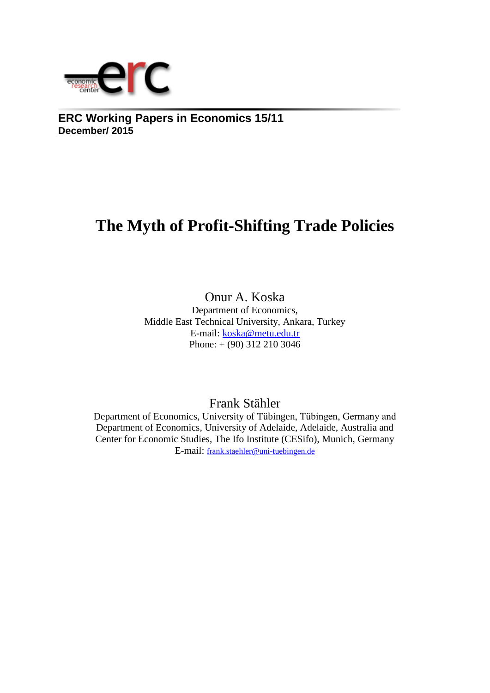

**ERC Working Papers in Economics 15/11 December/ 2015**

# **The Myth of Profit-Shifting Trade Policies**

Onur A. Koska Department of Economics, Middle East Technical University, Ankara, Turkey E-mail: [koska@metu.edu.tr](mailto:koska@metu.edu.tr) Phone: + (90) 312 210 3046

#### Frank Stähler

Department of Economics, University of Tübingen, Tübingen, Germany and Department of Economics, University of Adelaide, Adelaide, Australia and Center for Economic Studies, The Ifo Institute (CESifo), Munich, Germany E-mail: [frank.staehler@uni-tuebingen.de](mailto:frank.staehler@uni-tuebingen.de)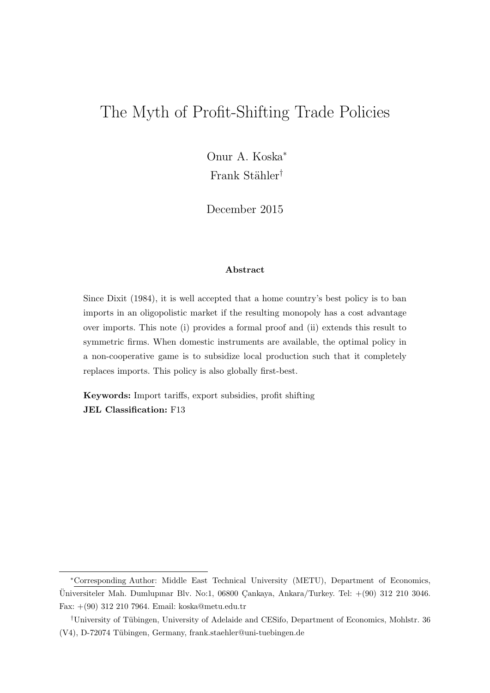## The Myth of Profit-Shifting Trade Policies

Onur A. Koska<sup>∗</sup> Frank Stähler<sup>†</sup>

December 2015

#### Abstract

Since Dixit (1984), it is well accepted that a home country's best policy is to ban imports in an oligopolistic market if the resulting monopoly has a cost advantage over imports. This note (i) provides a formal proof and (ii) extends this result to symmetric firms. When domestic instruments are available, the optimal policy in a non-cooperative game is to subsidize local production such that it completely replaces imports. This policy is also globally first-best.

Keywords: Import tariffs, export subsidies, profit shifting JEL Classification: F13

<sup>∗</sup>Corresponding Author: Middle East Technical University (METU), Department of Economics, Universiteler Mah. Dumlupınar Blv. No:1, 06800 Cankaya, Ankara/Turkey. Tel:  $+(90)$  312 210 3046. Fax: +(90) 312 210 7964. Email: koska@metu.edu.tr

<sup>&</sup>lt;sup>†</sup>University of Tübingen, University of Adelaide and CESifo, Department of Economics, Mohlstr. 36 (V4), D-72074 Tübingen, Germany, frank.staehler@uni-tuebingen.de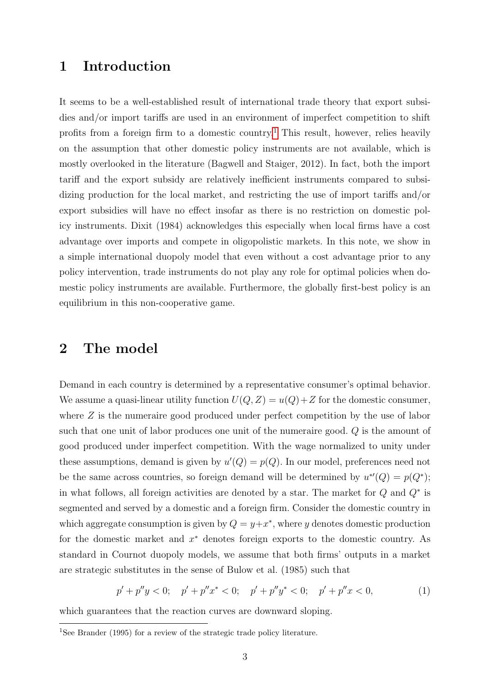#### 1 Introduction

It seems to be a well-established result of international trade theory that export subsidies and/or import tariffs are used in an environment of imperfect competition to shift profits from a foreign firm to a domestic country.<sup>1</sup> This result, however, relies heavily on the assumption that other domestic policy instruments are not available, which is mostly overlooked in the literature (Bagwell and Staiger, 2012). In fact, both the import tariff and the export subsidy are relatively inefficient instruments compared to subsidizing production for the local market, and restricting the use of import tariffs and/or export subsidies will have no effect insofar as there is no restriction on domestic policy instruments. Dixit (1984) acknowledges this especially when local firms have a cost advantage over imports and compete in oligopolistic markets. In this note, we show in a simple international duopoly model that even without a cost advantage prior to any policy intervention, trade instruments do not play any role for optimal policies when domestic policy instruments are available. Furthermore, the globally first-best policy is an equilibrium in this non-cooperative game.

#### 2 The model

Demand in each country is determined by a representative consumer's optimal behavior. We assume a quasi-linear utility function  $U(Q, Z) = u(Q) + Z$  for the domestic consumer, where Z is the numeraire good produced under perfect competition by the use of labor such that one unit of labor produces one unit of the numeraire good. Q is the amount of good produced under imperfect competition. With the wage normalized to unity under these assumptions, demand is given by  $u'(Q) = p(Q)$ . In our model, preferences need not be the same across countries, so foreign demand will be determined by  $u^{*'}(Q) = p(Q^*);$ in what follows, all foreign activities are denoted by a star. The market for  $Q$  and  $Q^*$  is segmented and served by a domestic and a foreign firm. Consider the domestic country in which aggregate consumption is given by  $Q = y + x^*$ , where y denotes domestic production for the domestic market and  $x^*$  denotes foreign exports to the domestic country. As standard in Cournot duopoly models, we assume that both firms' outputs in a market are strategic substitutes in the sense of Bulow et al. (1985) such that

$$
p' + p''y < 0; \quad p' + p''x^* < 0; \quad p' + p''y^* < 0; \quad p' + p''x < 0,\tag{1}
$$

which guarantees that the reaction curves are downward sloping.

<sup>&</sup>lt;sup>1</sup>See Brander (1995) for a review of the strategic trade policy literature.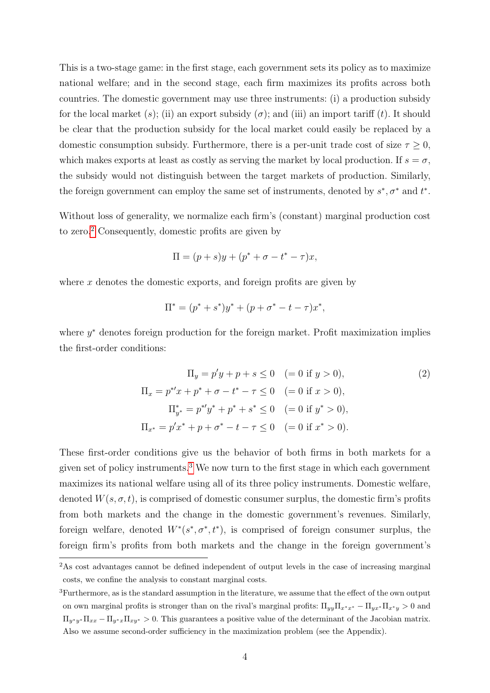This is a two-stage game: in the first stage, each government sets its policy as to maximize national welfare; and in the second stage, each firm maximizes its profits across both countries. The domestic government may use three instruments: (i) a production subsidy for the local market (s); (ii) an export subsidy ( $\sigma$ ); and (iii) an import tariff (t). It should be clear that the production subsidy for the local market could easily be replaced by a domestic consumption subsidy. Furthermore, there is a per-unit trade cost of size  $\tau \geq 0$ , which makes exports at least as costly as serving the market by local production. If  $s = \sigma$ , the subsidy would not distinguish between the target markets of production. Similarly, the foreign government can employ the same set of instruments, denoted by  $s^*, \sigma^*$  and  $t^*$ .

Without loss of generality, we normalize each firm's (constant) marginal production cost to zero.<sup>2</sup> Consequently, domestic profits are given by

$$
\Pi = (p+s)y + (p^* + \sigma - t^* - \tau)x,
$$

where  $x$  denotes the domestic exports, and foreign profits are given by

$$
\Pi^* = (p^* + s^*)y^* + (p + \sigma^* - t - \tau)x^*,
$$

where  $y^*$  denotes foreign production for the foreign market. Profit maximization implies the first-order conditions:

$$
\Pi_y = p'y + p + s \le 0 \quad (= 0 \text{ if } y > 0),
$$
  
\n
$$
\Pi_x = p^{*'}x + p^* + \sigma - t^* - \tau \le 0 \quad (= 0 \text{ if } x > 0),
$$
  
\n
$$
\Pi_{y^*}^* = p^{*'}y^* + p^* + s^* \le 0 \quad (= 0 \text{ if } y^* > 0),
$$
  
\n
$$
\Pi_{x^*} = p'x^* + p + \sigma^* - t - \tau \le 0 \quad (= 0 \text{ if } x^* > 0).
$$
\n(2)

These first-order conditions give us the behavior of both firms in both markets for a given set of policy instruments.<sup>3</sup> We now turn to the first stage in which each government maximizes its national welfare using all of its three policy instruments. Domestic welfare, denoted  $W(s, \sigma, t)$ , is comprised of domestic consumer surplus, the domestic firm's profits from both markets and the change in the domestic government's revenues. Similarly, foreign welfare, denoted  $W^*(s^*, \sigma^*, t^*)$ , is comprised of foreign consumer surplus, the foreign firm's profits from both markets and the change in the foreign government's

<sup>&</sup>lt;sup>2</sup>As cost advantages cannot be defined independent of output levels in the case of increasing marginal costs, we confine the analysis to constant marginal costs.

<sup>&</sup>lt;sup>3</sup>Furthermore, as is the standard assumption in the literature, we assume that the effect of the own output on own marginal profits is stronger than on the rival's marginal profits:  $\Pi_{yy}\Pi_{x^*x^*} - \Pi_{yx^*}\Pi_{x^*y} > 0$  and  $\Pi_{y^*y^*}\Pi_{xx} - \Pi_{y^*x}\Pi_{xy^*} > 0$ . This guarantees a positive value of the determinant of the Jacobian matrix. Also we assume second-order sufficiency in the maximization problem (see the Appendix).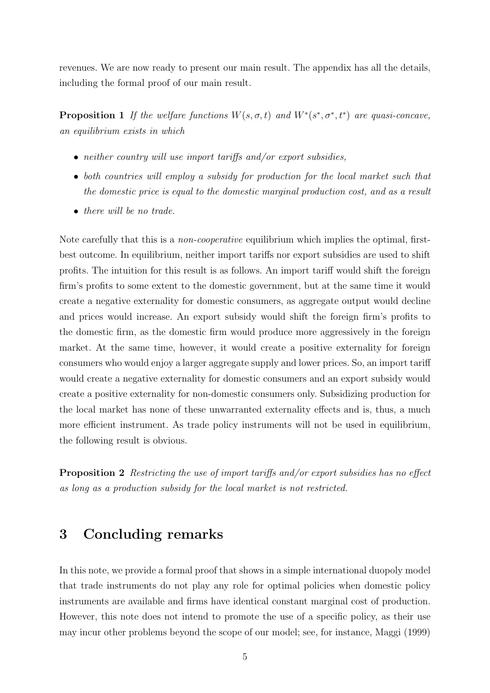revenues. We are now ready to present our main result. The appendix has all the details, including the formal proof of our main result.

**Proposition 1** If the welfare functions  $W(s, \sigma, t)$  and  $W^*(s^*, \sigma^*, t^*)$  are quasi-concave, an equilibrium exists in which

- neither country will use import tariffs and/or export subsidies,
- both countries will employ a subsidy for production for the local market such that the domestic price is equal to the domestic marginal production cost, and as a result
- there will be no trade.

Note carefully that this is a non-cooperative equilibrium which implies the optimal, firstbest outcome. In equilibrium, neither import tariffs nor export subsidies are used to shift profits. The intuition for this result is as follows. An import tariff would shift the foreign firm's profits to some extent to the domestic government, but at the same time it would create a negative externality for domestic consumers, as aggregate output would decline and prices would increase. An export subsidy would shift the foreign firm's profits to the domestic firm, as the domestic firm would produce more aggressively in the foreign market. At the same time, however, it would create a positive externality for foreign consumers who would enjoy a larger aggregate supply and lower prices. So, an import tariff would create a negative externality for domestic consumers and an export subsidy would create a positive externality for non-domestic consumers only. Subsidizing production for the local market has none of these unwarranted externality effects and is, thus, a much more efficient instrument. As trade policy instruments will not be used in equilibrium, the following result is obvious.

Proposition 2 Restricting the use of import tariffs and/or export subsidies has no effect as long as a production subsidy for the local market is not restricted.

#### 3 Concluding remarks

In this note, we provide a formal proof that shows in a simple international duopoly model that trade instruments do not play any role for optimal policies when domestic policy instruments are available and firms have identical constant marginal cost of production. However, this note does not intend to promote the use of a specific policy, as their use may incur other problems beyond the scope of our model; see, for instance, Maggi (1999)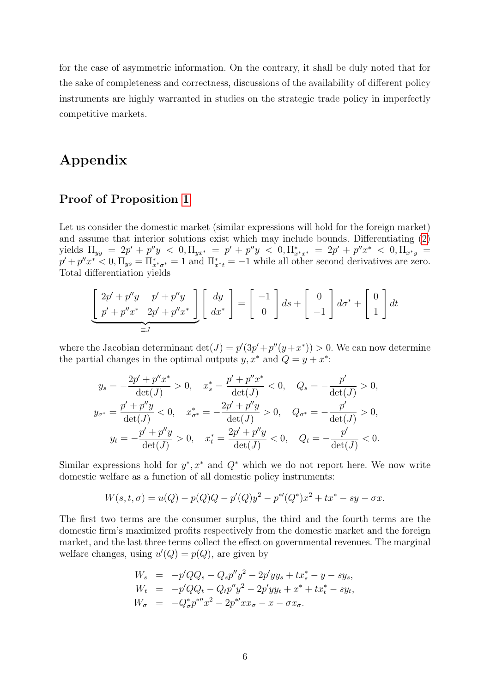for the case of asymmetric information. On the contrary, it shall be duly noted that for the sake of completeness and correctness, discussions of the availability of different policy instruments are highly warranted in studies on the strategic trade policy in imperfectly competitive markets.

### Appendix

#### Proof of Proposition  $\overline{1}$

Let us consider the domestic market (similar expressions will hold for the foreign market) and assume that interior solutions exist which may include bounds. Differentiating  $(2)$ yields  $\Pi_{yy} = 2p' + p''y < 0, \Pi_{yx^*} = p' + p''y < 0, \Pi_{x^*x^*}^* = 2p' + p''x^* < 0, \Pi_{x^*y}$  $p' + p''x^* < 0, \Pi_{ys} = \Pi_{x^*\sigma^*}^* = 1$  and  $\Pi_{x^*t}^* = -1$  while all other second derivatives are zero. Total differentiation yields

$$
\left[\begin{array}{cc}2p'+p''y & p'+p''y\\p'+p''x^* & 2p'+p''x^*\end{array}\right]\left[\begin{array}{c}dy\\dx^*\end{array}\right]=\left[\begin{array}{c}-1\\0\end{array}\right]ds+\left[\begin{array}{c}0\\-1\end{array}\right]d\sigma^*+\left[\begin{array}{c}0\\1\end{array}\right]dt
$$

where the Jacobian determinant  $\det(J) = p'(3p' + p''(y + x^*)) > 0$ . We can now determine the partial changes in the optimal outputs  $y, x^*$  and  $Q = y + x^*$ .

$$
y_s = -\frac{2p' + p''x^*}{\det(J)} > 0, \quad x_s^* = \frac{p' + p''x^*}{\det(J)} < 0, \quad Q_s = -\frac{p'}{\det(J)} > 0,
$$
  

$$
y_{\sigma^*} = \frac{p' + p''y}{\det(J)} < 0, \quad x_{\sigma^*}^* = -\frac{2p' + p''y}{\det(J)} > 0, \quad Q_{\sigma^*} = -\frac{p'}{\det(J)} > 0,
$$
  

$$
y_t = -\frac{p' + p''y}{\det(J)} > 0, \quad x_t^* = \frac{2p' + p''y}{\det(J)} < 0, \quad Q_t = -\frac{p'}{\det(J)} < 0.
$$

Similar expressions hold for  $y^*$ ,  $x^*$  and  $Q^*$  which we do not report here. We now write domestic welfare as a function of all domestic policy instruments:

$$
W(s,t,\sigma) = u(Q) - p(Q)Q - p'(Q)y^{2} - p^{*'}(Q^{*})x^{2} + tx^{*} - sy - \sigma x.
$$

The first two terms are the consumer surplus, the third and the fourth terms are the domestic firm's maximized profits respectively from the domestic market and the foreign market, and the last three terms collect the effect on governmental revenues. The marginal welfare changes, using  $u'(Q) = p(Q)$ , are given by

$$
W_s = -p'QQ_s - Q_s p''y^2 - 2p'yy_s + tx_s^* - y - sy_s,
$$
  
\n
$$
W_t = -p'QQ_t - Q_t p''y^2 - 2p'yy_t + x^* + tx_t^* - sy_t,
$$
  
\n
$$
W_\sigma = -Q_\sigma^* p^{*\prime\prime} x^2 - 2p^{*\prime} xx_\sigma - x - \sigma x_\sigma.
$$